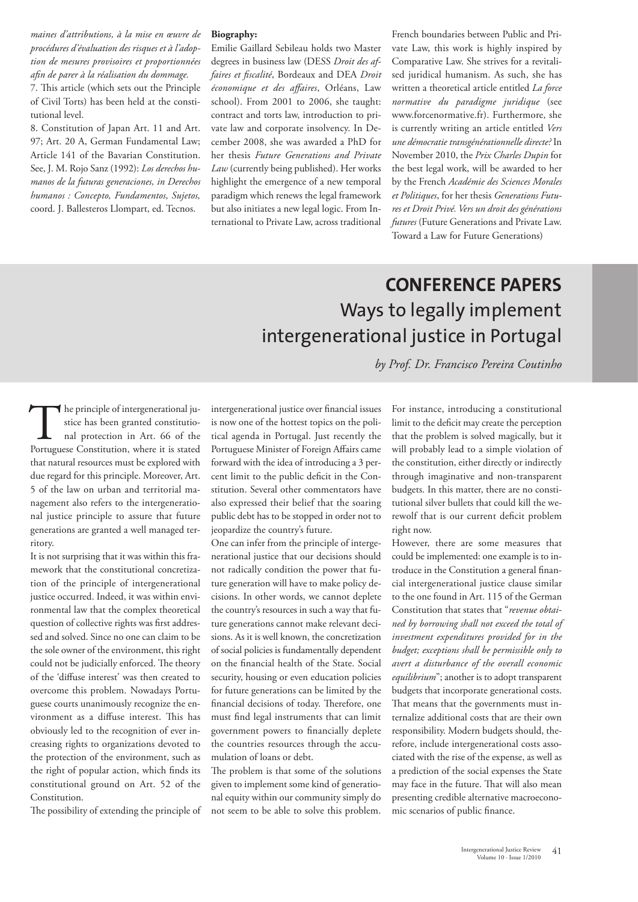*maines d'attributions, à la mise en œuvre de procédures d'évaluation des risques et à l'adoption de mesures provisoires et proportionnées afin de parer à la réalisation du dommage.*

7. This article (which sets out the Principle of Civil Torts) has been held at the constitutional level.

8. Constitution of Japan Art. 11 and Art. 97; Art. 20 A, German Fundamental Law; Article 141 of the Bavarian Constitution. See, J. M. Rojo Sanz (1992): *Los derechos humanos de la futuras generaciones, in Derechos humanos : Concepto, Fundamentos, Sujetos,* coord. J. Ballesteros Llompart, ed. Tecnos.

#### **Biography:**

Emilie Gaillard Sebileau holds two Master degrees in business law (DESS *Droit des affaires et fiscalité*, Bordeaux and DEA *Droit économique et des affaires*, Orléans, Law school). From 2001 to 2006, she taught: contract and torts law, introduction to private law and corporate insolvency. In December 2008, she was awarded a PhD for her thesis *Future Generations and Private Law* (currently being published). Her works highlight the emergence of a new temporal paradigm which renews the legal framework but also initiates a new legal logic. From International to Private Law, across traditional French boundaries between Public and Private Law, this work is highly inspired by Comparative Law. She strives for a revitalised juridical humanism. As such, she has written a theoretical article entitled *La force normative du paradigme juridique* (see www.forcenormative.fr). Furthermore, she is currently writing an article entitled *Vers une démocratie transgénérationnelle directe?* In November 2010, the *Prix Charles Dupin* for the best legal work, will be awarded to her by the French *Académie des Sciences Morales et Politiques*, for her thesis *Generations Futures et Droit Privé. Vers un droit des générations futures* (Future Generations and Private Law. Toward a Law for Future Generations)

## **CONFERENCE PAPERS** Ways to legally implement intergenerational justice in Portugal

*by Prof. Dr. Francisco Pereira Coutinho*

he principle of intergenerational justice has been granted constitutional protection in Art. 66 of the The principle of intergenerational justice has been granted constitutional protection in Art. 66 of the Portuguese Constitution, where it is stated that natural resources must be explored with due regard for this principle. Moreover, Art. 5 of the law on urban and territorial management also refers to the intergenerational justice principle to assure that future generations are granted a well managed territory.

It is not surprising that it was within this framework that the constitutional concretization of the principle of intergenerational justice occurred. Indeed, it was within environmental law that the complex theoretical question of collective rights was first addressed and solved. Since no one can claim to be the sole owner of the environment, this right could not be judicially enforced. The theory of the 'diffuse interest' was then created to overcome this problem. Nowadays Portuguese courts unanimously recognize the environment as a diffuse interest. This has obviously led to the recognition of ever increasing rights to organizations devoted to the protection of the environment, such as the right of popular action, which finds its constitutional ground on Art. 52 of the Constitution.

The possibility of extending the principle of

intergenerational justice over financial issues is now one of the hottest topics on the political agenda in Portugal. Just recently the Portuguese Minister of Foreign Affairs came forward with the idea of introducing a 3 percent limit to the public deficit in the Constitution. Several other commentators have also expressed their belief that the soaring public debt has to be stopped in order not to jeopardize the country's future.

One can infer from the principle of intergenerational justice that our decisions should not radically condition the power that future generation will have to make policy decisions. In other words, we cannot deplete the country's resources in such a way that future generations cannot make relevant decisions. As it is well known, the concretization of social policies is fundamentally dependent on the financial health of the State. Social security, housing or even education policies for future generations can be limited by the financial decisions of today. Therefore, one must find legal instruments that can limit government powers to financially deplete the countries resources through the accumulation of loans or debt.

The problem is that some of the solutions given to implement some kind of generational equity within our community simply do not seem to be able to solve this problem.

For instance, introducing a constitutional limit to the deficit may create the perception that the problem is solved magically, but it will probably lead to a simple violation of the constitution, either directly or indirectly through imaginative and non-transparent budgets. In this matter, there are no constitutional silver bullets that could kill the werewolf that is our current deficit problem right now.

However, there are some measures that could be implemented: one example is to introduce in the Constitution a general financial intergenerational justice clause similar to the one found in Art. 115 of the German Constitution that states that "*revenue obtained by borrowing shall not exceed the total of investment expenditures provided for in the budget; exceptions shall be permissible only to avert a disturbance of the overall economic equilibrium*"; another is to adopt transparent budgets that incorporate generational costs. That means that the governments must internalize additional costs that are their own responsibility. Modern budgets should, therefore, include intergenerational costs associated with the rise of the expense, as well as a prediction of the social expenses the State may face in the future. That will also mean presenting credible alternative macroeconomic scenarios of public finance.